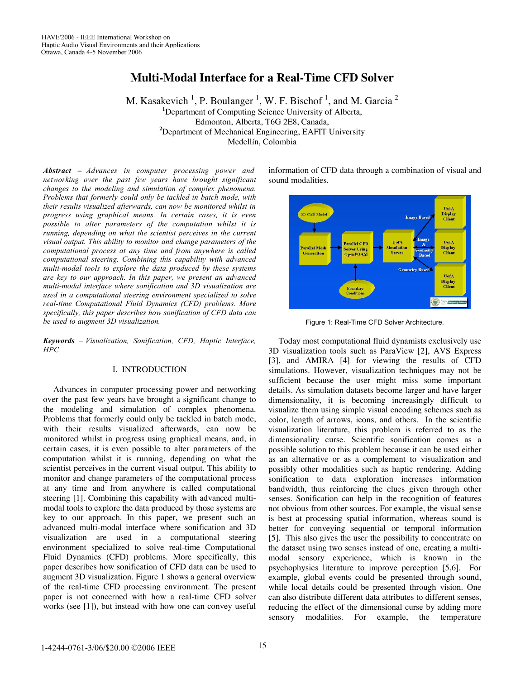# **Multi-Modal Interface for a Real-Time CFD Solver**

M. Kasakevich<sup>1</sup>, P. Boulanger<sup>1</sup>, W. F. Bischof<sup>1</sup>, and M. Garcia<sup>2</sup> **1** Department of Computing Science University of Alberta,

Edmonton, Alberta, T6G 2E8, Canada, **<sup>2</sup>** Department of Mechanical Engineering, EAFIT University

Medellín, Colombia

*Abstract – Advances in computer processing power and networking over the past few years have brought significant changes to the modeling and simulation of complex phenomena. Problems that formerly could only be tackled in batch mode, with their results visualized afterwards, can now be monitored whilst in progress using graphical means. In certain cases, it is even possible to alter parameters of the computation whilst it is running, depending on what the scientist perceives in the current visual output. This ability to monitor and change parameters of the computational process at any time and from anywhere is called computational steering. Combining this capability with advanced multi-modal tools to explore the data produced by these systems are key to our approach. In this paper, we present an advanced multi-modal interface where sonification and 3D visualization are used in a computational steering environment specialized to solve real-time Computational Fluid Dynamics (CFD) problems. More specifically, this paper describes how sonification of CFD data can be used to augment 3D visualization.*

*Keywords – Visualization, Sonification, CFD, Haptic Interface, HPC*

### I. INTRODUCTION

Advances in computer processing power and networking over the past few years have brought a significant change to the modeling and simulation of complex phenomena. Problems that formerly could only be tackled in batch mode, with their results visualized afterwards, can now be monitored whilst in progress using graphical means, and, in certain cases, it is even possible to alter parameters of the computation whilst it is running, depending on what the scientist perceives in the current visual output. This ability to monitor and change parameters of the computational process at any time and from anywhere is called computational steering [1]. Combining this capability with advanced multimodal tools to explore the data produced by those systems are key to our approach. In this paper, we present such an advanced multi-modal interface where sonification and 3D visualization are used in a computational steering environment specialized to solve real-time Computational Fluid Dynamics (CFD) problems. More specifically, this paper describes how sonification of CFD data can be used to augment 3D visualization. Figure 1 shows a general overview of the real-time CFD processing environment. The present paper is not concerned with how a real-time CFD solver works (see [1]), but instead with how one can convey useful information of CFD data through a combination of visual and sound modalities.



Figure 1: Real-Time CFD Solver Architecture.

Today most computational fluid dynamists exclusively use 3D visualization tools such as ParaView [2], AVS Express [3], and AMIRA [4] for viewing the results of CFD simulations. However, visualization techniques may not be sufficient because the user might miss some important details. As simulation datasets become larger and have larger dimensionality, it is becoming increasingly difficult to visualize them using simple visual encoding schemes such as color, length of arrows, icons, and others. In the scientific visualization literature, this problem is referred to as the dimensionality curse. Scientific sonification comes as a possible solution to this problem because it can be used either as an alternative or as a complement to visualization and possibly other modalities such as haptic rendering. Adding sonification to data exploration increases information bandwidth, thus reinforcing the clues given through other senses. Sonification can help in the recognition of features not obvious from other sources. For example, the visual sense is best at processing spatial information, whereas sound is better for conveying sequential or temporal information [5]. This also gives the user the possibility to concentrate on the dataset using two senses instead of one, creating a multimodal sensory experience, which is known in the psychophysics literature to improve perception [5,6]. For example, global events could be presented through sound, while local details could be presented through vision. One can also distribute different data attributes to different senses, reducing the effect of the dimensional curse by adding more sensory modalities. For example, the temperature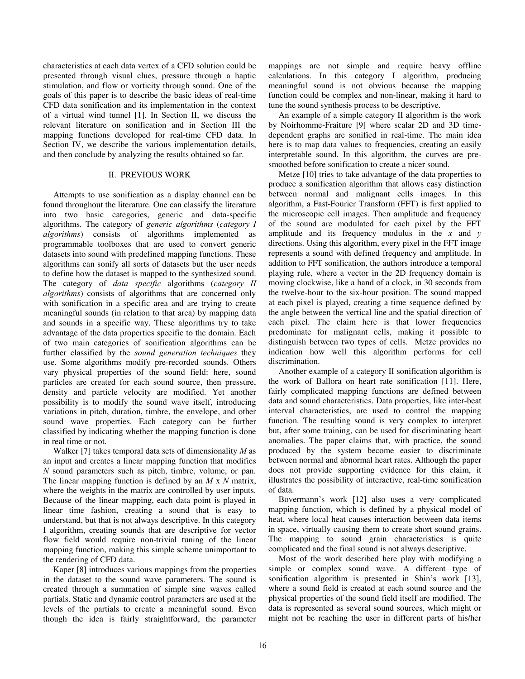characteristics at each data vertex of a CFD solution could be presented through visual clues, pressure through a haptic stimulation, and flow or vorticity through sound. One of the goals of this paper is to describe the basic ideas of real-time CFD data sonification and its implementation in the context of a virtual wind tunnel [1]. In Section II, we discuss the relevant literature on sonification and in Section III the mapping functions developed for real-time CFD data. In Section IV, we describe the various implementation details, and then conclude by analyzing the results obtained so far.

#### II. PREVIOUS WORK

Attempts to use sonification as a display channel can be found throughout the literature. One can classify the literature into two basic categories, generic and data-specific algorithms. The category of *generic algorithms* (*category I algorithms*) consists of algorithms implemented as programmable toolboxes that are used to convert generic datasets into sound with predefined mapping functions. These algorithms can sonify all sorts of datasets but the user needs to define how the dataset is mapped to the synthesized sound. The category of *data specific* algorithms (*category II algorithms*) consists of algorithms that are concerned only with sonification in a specific area and are trying to create meaningful sounds (in relation to that area) by mapping data and sounds in a specific way. These algorithms try to take advantage of the data properties specific to the domain. Each of two main categories of sonification algorithms can be further classified by the *sound generation techniques* they use. Some algorithms modify pre-recorded sounds. Others vary physical properties of the sound field: here, sound particles are created for each sound source, then pressure, density and particle velocity are modified. Yet another possibility is to modify the sound wave itself, introducing variations in pitch, duration, timbre, the envelope, and other sound wave properties. Each category can be further classified by indicating whether the mapping function is done in real time or not.

Walker [7] takes temporal data sets of dimensionality *M* as an input and creates a linear mapping function that modifies *N* sound parameters such as pitch, timbre, volume, or pan. The linear mapping function is defined by an *M* x *N* matrix, where the weights in the matrix are controlled by user inputs. Because of the linear mapping, each data point is played in linear time fashion, creating a sound that is easy to understand, but that is not always descriptive. In this category I algorithm, creating sounds that are descriptive for vector flow field would require non-trivial tuning of the linear mapping function, making this simple scheme unimportant to the rendering of CFD data.

Kaper [8] introduces various mappings from the properties in the dataset to the sound wave parameters. The sound is created through a summation of simple sine waves called partials. Static and dynamic control parameters are used at the levels of the partials to create a meaningful sound. Even though the idea is fairly straightforward, the parameter

mappings are not simple and require heavy offline calculations. In this category I algorithm, producing meaningful sound is not obvious because the mapping function could be complex and non-linear, making it hard to tune the sound synthesis process to be descriptive.

An example of a simple category II algorithm is the work by Noirhomme-Fraiture [9] where scalar 2D and 3D timedependent graphs are sonified in real-time. The main idea here is to map data values to frequencies, creating an easily interpretable sound. In this algorithm, the curves are presmoothed before sonification to create a nicer sound.

Metze [10] tries to take advantage of the data properties to produce a sonification algorithm that allows easy distinction between normal and malignant cells images. In this algorithm, a Fast-Fourier Transform (FFT) is first applied to the microscopic cell images. Then amplitude and frequency of the sound are modulated for each pixel by the FFT amplitude and its frequency modulus in the *x* and *y* directions. Using this algorithm, every pixel in the FFT image represents a sound with defined frequency and amplitude. In addition to FFT sonification, the authors introduce a temporal playing rule, where a vector in the 2D frequency domain is moving clockwise, like a hand of a clock, in 30 seconds from the twelve-hour to the six-hour position. The sound mapped at each pixel is played, creating a time sequence defined by the angle between the vertical line and the spatial direction of each pixel. The claim here is that lower frequencies predominate for malignant cells, making it possible to distinguish between two types of cells. Metze provides no indication how well this algorithm performs for cell discrimination.

Another example of a category II sonification algorithm is the work of Ballora on heart rate sonification [11]. Here, fairly complicated mapping functions are defined between data and sound characteristics. Data properties, like inter-beat interval characteristics, are used to control the mapping function. The resulting sound is very complex to interpret but, after some training, can be used for discriminating heart anomalies. The paper claims that, with practice, the sound produced by the system become easier to discriminate between normal and abnormal heart rates. Although the paper does not provide supporting evidence for this claim, it illustrates the possibility of interactive, real-time sonification of data.

Bovermann's work [12] also uses a very complicated mapping function, which is defined by a physical model of heat, where local heat causes interaction between data items in space, virtually causing them to create short sound grains. The mapping to sound grain characteristics is quite complicated and the final sound is not always descriptive.

Most of the work described here play with modifying a simple or complex sound wave. A different type of sonification algorithm is presented in Shin's work [13], where a sound field is created at each sound source and the physical properties of the sound field itself are modified. The data is represented as several sound sources, which might or might not be reaching the user in different parts of his/her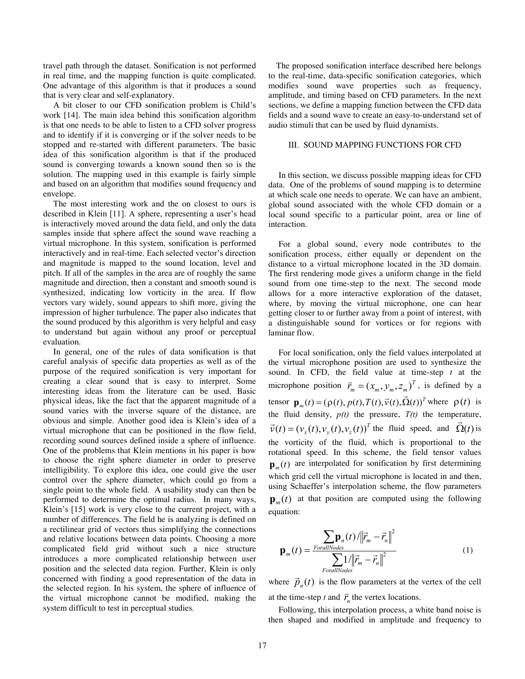travel path through the dataset. Sonification is not performed in real time, and the mapping function is quite complicated. One advantage of this algorithm is that it produces a sound that is very clear and self-explanatory.

A bit closer to our CFD sonification problem is Child's work [14]. The main idea behind this sonification algorithm is that one needs to be able to listen to a CFD solver progress and to identify if it is converging or if the solver needs to be stopped and re-started with different parameters. The basic idea of this sonification algorithm is that if the produced sound is converging towards a known sound then so is the solution. The mapping used in this example is fairly simple and based on an algorithm that modifies sound frequency and envelope.

The most interesting work and the on closest to ours is described in Klein [11]. A sphere, representing a user's head is interactively moved around the data field, and only the data samples inside that sphere affect the sound wave reaching a virtual microphone. In this system, sonification is performed interactively and in real-time. Each selected vector's direction and magnitude is mapped to the sound location, level and pitch. If all of the samples in the area are of roughly the same magnitude and direction, then a constant and smooth sound is synthesized, indicating low vorticity in the area. If flow vectors vary widely, sound appears to shift more, giving the impression of higher turbulence. The paper also indicates that the sound produced by this algorithm is very helpful and easy to understand but again without any proof or perceptual evaluation.

In general, one of the rules of data sonification is that careful analysis of specific data properties as well as of the purpose of the required sonification is very important for creating a clear sound that is easy to interpret. Some interesting ideas from the literature can be used. Basic physical ideas, like the fact that the apparent magnitude of a sound varies with the inverse square of the distance, are obvious and simple. Another good idea is Klein's idea of a virtual microphone that can be positioned in the flow field, recording sound sources defined inside a sphere of influence. One of the problems that Klein mentions in his paper is how to choose the right sphere diameter in order to preserve intelligibility. To explore this idea, one could give the user control over the sphere diameter, which could go from a single point to the whole field. A usability study can then be performed to determine the optimal radius. In many ways, Klein's [15] work is very close to the current project, with a number of differences. The field he is analyzing is defined on a rectilinear grid of vectors thus simplifying the connections and relative locations between data points. Choosing a more complicated field grid without such a nice structure introduces a more complicated relationship between user position and the selected data region. Further, Klein is only concerned with finding a good representation of the data in the selected region. In his system, the sphere of influence of the virtual microphone cannot be modified, making the system difficult to test in perceptual studies.

The proposed sonification interface described here belongs to the real-time, data-specific sonification categories, which modifies sound wave properties such as frequency, amplitude, and timing based on CFD parameters. In the next sections, we define a mapping function between the CFD data fields and a sound wave to create an easy-to-understand set of audio stimuli that can be used by fluid dynamists.

#### III. SOUND MAPPING FUNCTIONS FOR CFD

In this section, we discuss possible mapping ideas for CFD data. One of the problems of sound mapping is to determine at which scale one needs to operate. We can have an ambient, global sound associated with the whole CFD domain or a local sound specific to a particular point, area or line of interaction.

For a global sound, every node contributes to the sonification process, either equally or dependent on the distance to a virtual microphone located in the 3D domain. The first rendering mode gives a uniform change in the field sound from one time-step to the next. The second mode allows for a more interactive exploration of the dataset, where, by moving the virtual microphone, one can hear getting closer to or further away from a point of interest, with a distinguishable sound for vortices or for regions with laminar flow.

For local sonification, only the field values interpolated at the virtual microphone position are used to synthesize the sound. In CFD, the field value at time-step *t* at the microphone position  $\vec{r}_m = (x_m, y_m, z_m)^T$ , is defined by a tensor  $\mathbf{p}_m(t) = (\rho(t), p(t), T(t), \vec{v}(t), \vec{\Omega}(t))^T$  where  $\rho(t)$  is the fluid density,  $p(t)$  the pressure,  $T(t)$  the temperature,  $\vec{v}(t) = (v_x(t), v_y(t), v_z(t))^T$  the fluid speed, and  $\vec{\Omega}(t)$  is the vorticity of the fluid, which is proportional to the rotational speed. In this scheme, the field tensor values  $\mathbf{p}_m(t)$  are interpolated for sonification by first determining which grid cell the virtual microphone is located in and then, using Schaeffer's interpolation scheme, the flow parameters  $\mathbf{p}_m(t)$  at that position are computed using the following equation:

$$
\mathbf{p}_{m}(t) = \frac{\sum_{\text{forall}} \mathbf{p}_{n}(t) / \left\| \vec{r}_{m} - \vec{r}_{n} \right\|^{2}}{\sum_{\text{for allNodes}} 1 / \left\| \vec{r}_{m} - \vec{r}_{n} \right\|^{2}}
$$
(1)

where  $\vec{p}_n(t)$  is the flow parameters at the vertex of the cell at the time-step *t* and  $\vec{r}_n$  the vertex locations.

Following, this interpolation process, a white band noise is then shaped and modified in amplitude and frequency to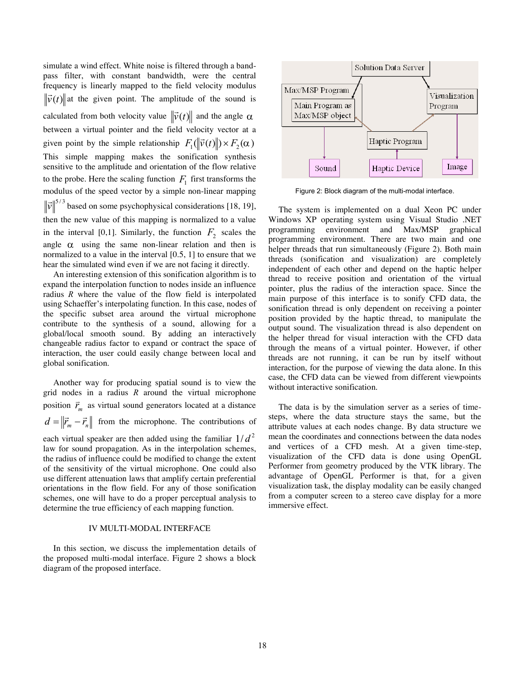simulate a wind effect. White noise is filtered through a bandpass filter, with constant bandwidth, were the central frequency is linearly mapped to the field velocity modulus  $\|\vec{v}(t)\|$  at the given point. The amplitude of the sound is calculated from both velocity value  $\|\vec{v}(t)\|$  and the angle  $\alpha$ between a virtual pointer and the field velocity vector at a given point by the simple relationship  $F_1(\|\vec{v}(t)\|) \times F_2(\alpha)$ This simple mapping makes the sonification synthesis sensitive to the amplitude and orientation of the flow relative to the probe. Here the scaling function  $F_1$  first transforms the modulus of the speed vector by a simple non-linear mapping  $\vec{v}$ <sup>[5/3</sup> based on some psychophysical considerations [18, 19], then the new value of this mapping is normalized to a value in the interval [0,1]. Similarly, the function  $F<sub>2</sub>$  scales the angle  $\alpha$  using the same non-linear relation and then is normalized to a value in the interval [0.5, 1] to ensure that we hear the simulated wind even if we are not facing it directly.

An interesting extension of this sonification algorithm is to expand the interpolation function to nodes inside an influence radius *R* where the value of the flow field is interpolated using Schaeffer's interpolating function. In this case, nodes of the specific subset area around the virtual microphone contribute to the synthesis of a sound, allowing for a global/local smooth sound. By adding an interactively changeable radius factor to expand or contract the space of interaction, the user could easily change between local and global sonification.

Another way for producing spatial sound is to view the grid nodes in a radius *R* around the virtual microphone position  $\vec{r}_m$  as virtual sound generators located at a distance  $d = \left\| \vec{r}_m - \vec{r}_n \right\|$  from the microphone. The contributions of each virtual speaker are then added using the familiar  $1/d^2$ law for sound propagation. As in the interpolation schemes, the radius of influence could be modified to change the extent of the sensitivity of the virtual microphone. One could also use different attenuation laws that amplify certain preferential orientations in the flow field. For any of those sonification schemes, one will have to do a proper perceptual analysis to determine the true efficiency of each mapping function.

## IV MULTI-MODAL INTERFACE

In this section, we discuss the implementation details of the proposed multi-modal interface. Figure 2 shows a block diagram of the proposed interface.



Figure 2: Block diagram of the multi-modal interface.

The system is implemented on a dual Xeon PC under Windows XP operating system using Visual Studio .NET programming environment and Max/MSP graphical programming environment. There are two main and one helper threads that run simultaneously (Figure 2). Both main threads (sonification and visualization) are completely independent of each other and depend on the haptic helper thread to receive position and orientation of the virtual pointer, plus the radius of the interaction space. Since the main purpose of this interface is to sonify CFD data, the sonification thread is only dependent on receiving a pointer position provided by the haptic thread, to manipulate the output sound. The visualization thread is also dependent on the helper thread for visual interaction with the CFD data through the means of a virtual pointer. However, if other threads are not running, it can be run by itself without interaction, for the purpose of viewing the data alone. In this case, the CFD data can be viewed from different viewpoints without interactive sonification.

The data is by the simulation server as a series of timesteps, where the data structure stays the same, but the attribute values at each nodes change. By data structure we mean the coordinates and connections between the data nodes and vertices of a CFD mesh. At a given time-step, visualization of the CFD data is done using OpenGL Performer from geometry produced by the VTK library. The advantage of OpenGL Performer is that, for a given visualization task, the display modality can be easily changed from a computer screen to a stereo cave display for a more immersive effect.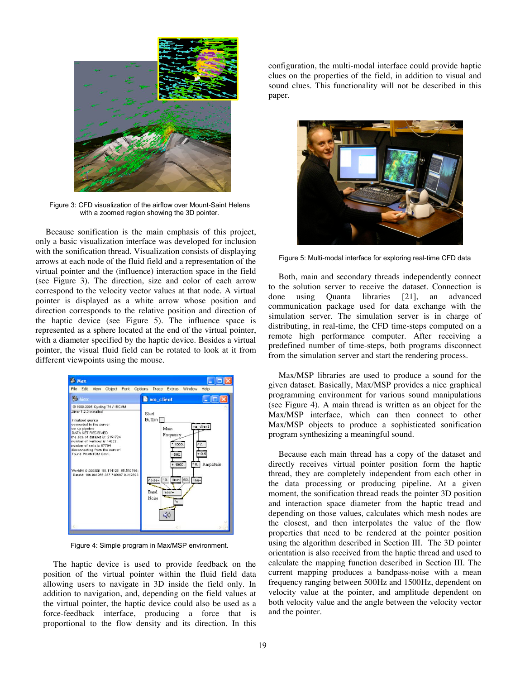

Figure 3: CFD visualization of the airflow over Mount-Saint Helens with a zoomed region showing the 3D pointer.

Because sonification is the main emphasis of this project, only a basic visualization interface was developed for inclusion with the sonification thread. Visualization consists of displaying arrows at each node of the fluid field and a representation of the virtual pointer and the (influence) interaction space in the field (see Figure 3). The direction, size and color of each arrow correspond to the velocity vector values at that node. A virtual pointer is displayed as a white arrow whose position and direction corresponds to the relative position and direction of the haptic device (see Figure 5). The influence space is represented as a sphere located at the end of the virtual pointer, with a diameter specified by the haptic device. Besides a virtual pointer, the visual fluid field can be rotated to look at it from different viewpoints using the mouse.



Figure 4: Simple program in Max/MSP environment.

The haptic device is used to provide feedback on the position of the virtual pointer within the fluid field data allowing users to navigate in 3D inside the field only. In addition to navigation, and, depending on the field values at the virtual pointer, the haptic device could also be used as a force-feedback interface, producing a force that is proportional to the flow density and its direction. In this configuration, the multi-modal interface could provide haptic clues on the properties of the field, in addition to visual and sound clues. This functionality will not be described in this paper.



Figure 5: Multi-modal interface for exploring real-time CFD data

Both, main and secondary threads independently connect to the solution server to receive the dataset. Connection is done using Quanta libraries [21], an advanced communication package used for data exchange with the simulation server. The simulation server is in charge of distributing, in real-time, the CFD time-steps computed on a remote high performance computer. After receiving a predefined number of time-steps, both programs disconnect from the simulation server and start the rendering process.

Max/MSP libraries are used to produce a sound for the given dataset. Basically, Max/MSP provides a nice graphical programming environment for various sound manipulations (see Figure 4). A main thread is written as an object for the Max/MSP interface, which can then connect to other Max/MSP objects to produce a sophisticated sonification program synthesizing a meaningful sound.

Because each main thread has a copy of the dataset and directly receives virtual pointer position form the haptic thread, they are completely independent from each other in the data processing or producing pipeline. At a given moment, the sonification thread reads the pointer 3D position and interaction space diameter from the haptic tread and depending on those values, calculates which mesh nodes are the closest, and then interpolates the value of the flow properties that need to be rendered at the pointer position using the algorithm described in Section III. The 3D pointer orientation is also received from the haptic thread and used to calculate the mapping function described in Section III. The current mapping produces a bandpass-noise with a mean frequency ranging between 500Hz and 1500Hz, dependent on velocity value at the pointer, and amplitude dependent on both velocity value and the angle between the velocity vector and the pointer.